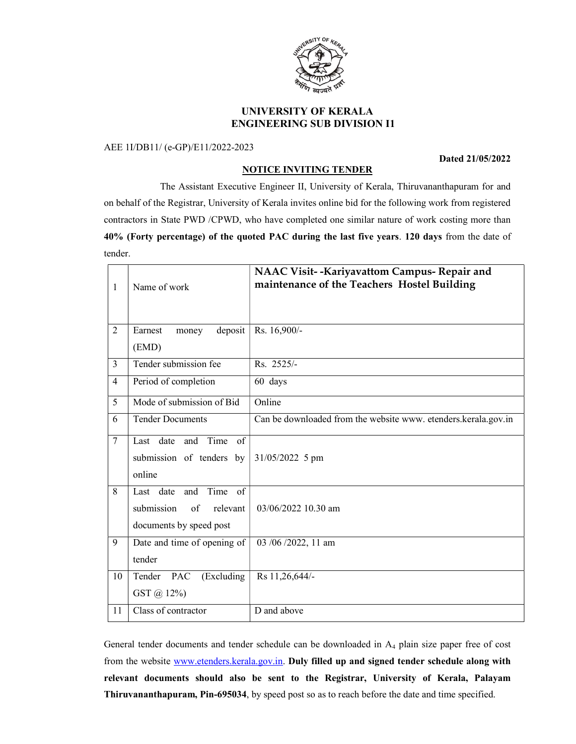

# UNIVERSITY OF KERALA ENGINEERING SUB DIVISION I1

## AEE 1I/DB11/ (e-GP)/E11/2022-2023

#### Dated 21/05/2022

## NOTICE INVITING TENDER

 The Assistant Executive Engineer II, University of Kerala, Thiruvananthapuram for and on behalf of the Registrar, University of Kerala invites online bid for the following work from registered contractors in State PWD /CPWD, who have completed one similar nature of work costing more than 40% (Forty percentage) of the quoted PAC during the last five years. 120 days from the date of tender.

| $\mathbf{1}$   | Name of work                                                                        | NAAC Visit--Kariyavattom Campus- Repair and<br>maintenance of the Teachers Hostel Building |
|----------------|-------------------------------------------------------------------------------------|--------------------------------------------------------------------------------------------|
| $\overline{2}$ | deposit<br>Earnest<br>money<br>(EMD)                                                | Rs. 16,900/-                                                                               |
| 3              | Tender submission fee                                                               | Rs. 2525/-                                                                                 |
| $\overline{4}$ | Period of completion                                                                | 60 days                                                                                    |
| 5              | Mode of submission of Bid                                                           | Online                                                                                     |
| 6              | <b>Tender Documents</b>                                                             | Can be downloaded from the website www. etenders.kerala.gov.in                             |
| $\tau$         | Last date and Time of<br>submission of tenders by<br>online                         | 31/05/2022 5 pm                                                                            |
| 8              | Time of<br>Last date and<br>submission<br>of<br>relevant<br>documents by speed post | 03/06/2022 10.30 am                                                                        |
| 9              | Date and time of opening of<br>tender                                               | 03 /06 /2022, 11 am                                                                        |
| 10             | Tender PAC<br>(Excluding<br>GST @ 12%)                                              | Rs 11,26,644/-                                                                             |
| 11             | Class of contractor                                                                 | D and above                                                                                |

General tender documents and tender schedule can be downloaded in A4 plain size paper free of cost from the website www.etenders.kerala.gov.in. Duly filled up and signed tender schedule along with relevant documents should also be sent to the Registrar, University of Kerala, Palayam Thiruvananthapuram, Pin-695034, by speed post so as to reach before the date and time specified.